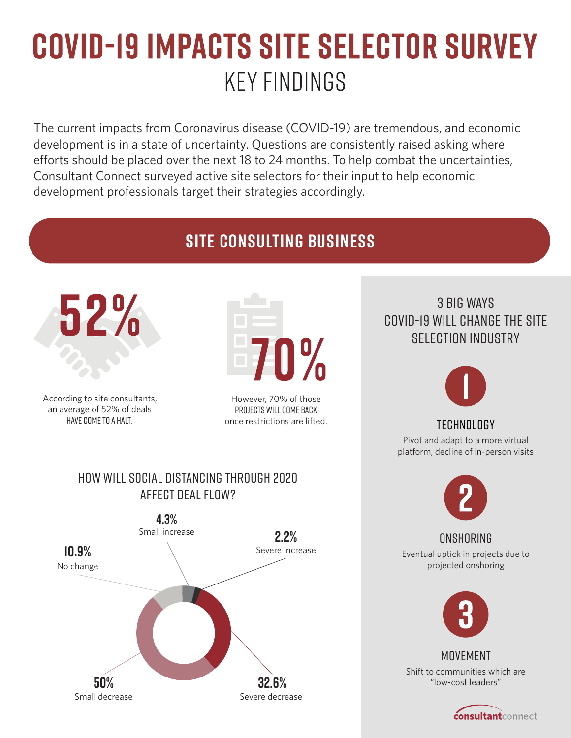## **COVID-19 IMPACTS SITE SELECTOR SURVEY KEY FINDINGS**

The current impacts from Coronavirus disease (COVID-19) are tremendous, and economic development is in a state of uncertainty. Questions are consistently raised asking where efforts should be placed over the next 18 to 24 months. To help combat the uncertainties, Consultant Connect surveyed active site selectors for their input to help economic development professionals target their strategies accordingly.

## **Site Consulting Business**



According to site consultants, an average of 52% of deals have come to a halt.

However, 70% of those projects will come back once restrictions are lifted.

## 3 Big Ways COVID-19 will change the site selection industry



## **TECHNOLOGY**

Pivot and adapt to a more virtual platform, decline of in-person visits



Eventual uptick in projects due to projected onshoring



Shift to communities which are "low-cost leaders" **MOVEMENT** 

**consultant**connect



How will social distancing through 2020

Severe decrease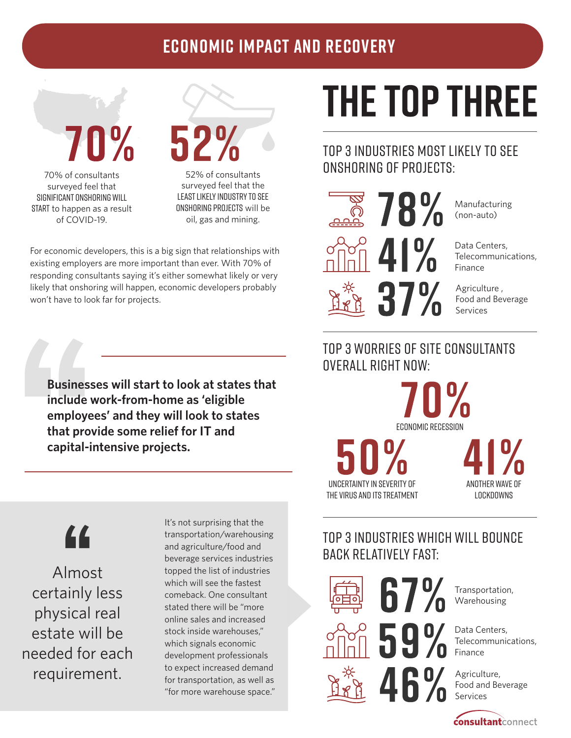## **ECONOMIC IMPACT AND RECOVERY**

70% of consultants surveyed feel that Significant Onshoring will START to happen as a result of COVID-19.

52% of consultants surveyed feel that the least likely industry to see Onshoring projects will be oil, gas and mining.

For economic developers, this is a big sign that relationships with existing employers are more important than ever. With 70% of responding consultants saying it's either somewhat likely or very likely that onshoring will happen, economic developers probably won't have to look far for projects.

**Businesses will start to look at states that include work-from-home as 'eligible employees' and they will look to states that provide some relief for IT and capital-intensive projects.**

"

Almost certainly less physical real estate will be needed for each requirement.

It's not surprising that the transportation/warehousing and agriculture/food and beverage services industries topped the list of industries which will see the fastest comeback. One consultant stated there will be "more online sales and increased stock inside warehouses," which signals economic development professionals to expect increased demand for transportation, as well as "for more warehouse space."

## **THE TOP THREE**

## top 3 industries most likely to see onshoring of projects:



Manufacturing (non-auto)

Data Centers, Telecommunications, Finance

Agriculture , Food and Beverage Services

## top 3 worries of site consultants overall right now:

Economic Recession

Uncertainty in severity of the virus and its treatment Another wave of lockdowns

## top 3 Industries which will bounce back relatively fast:

67%

59%



Transportation, Warehousing

Data Centers, Telecommunications, Finance

Agriculture, Food and Beverage Services

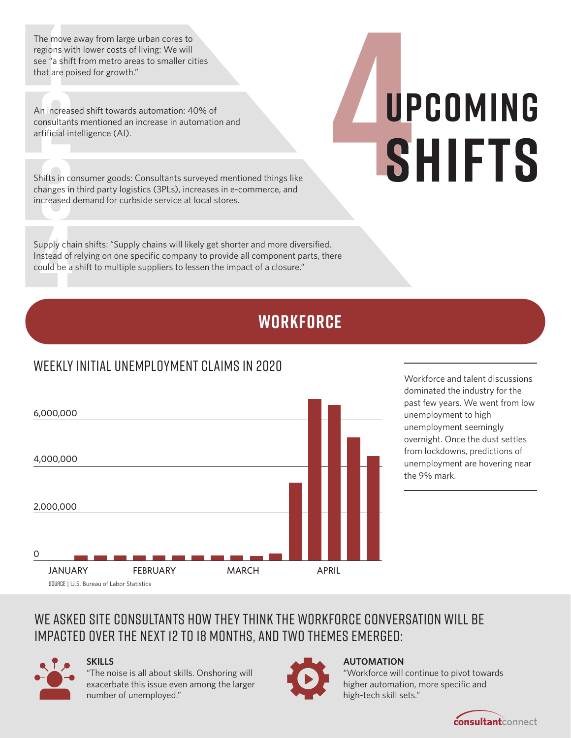The move away from large urban cores to regions with lower costs of living: We will see "a shift from metro areas to smaller cities that are poised for growth."

An increased shift towards automation: 40% of consultants mentioned an increase in automation and artificial intelligence (AI).

Shifts in consumer goods: Consultants surveyed mentioned things like changes in third party logistics (3PLs), increases in e-commerce, and increased demand for curbside service at local stores.

Supply chain shifts: "Supply chains will likely get shorter and more diversified. Instead of relying on one specific company to provide all component parts, there could be a shift to multiple suppliers to lessen the impact of a closure."

## **Workforce**

## Weekly initial unemployment claims in 2020

Workforce and talent discussions dominated the industry for the past few years. We went from low unemployment to high unemployment seemingly overnight. Once the dust settles from lockdowns, predictions of unemployment are hovering near the 9% mark.

## We asked site consultants how they think the workforce conversation will be impacted over the next 12 to 18 months, and two themes emerged:



0

2,000,000

4,000,000

6,000,000

#### **SKILLS**

Source | U.S. Bureau of Labor Statistics

"The noise is all about skills. Onshoring will exacerbate this issue even among the larger number of unemployed."

JANUARY FEBRUARY MARCH APRIL



#### **AUTOMATION**

"Workforce will continue to pivot towards higher automation, more specific and high-tech skill sets."



# UPCOMING **SHIFTS**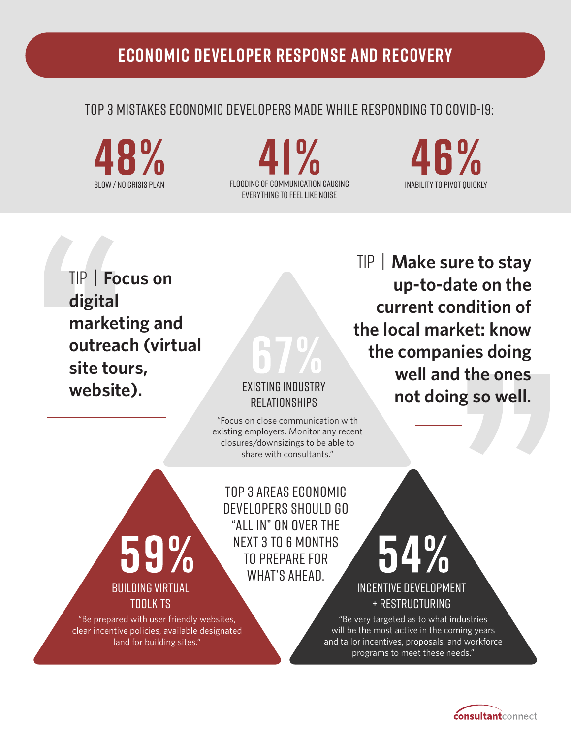## **Economic Developer Response and Recovery**

### top 3 mistakes economic developers made while responding to Covid-19:

 $\mathsf{I}^\mathsf{U}$ Flooding of communication causing Slow / No Crisis plan Inability to pivot quickly everything to feel like noise

46%

TIP | **Focus on digital marketing and outreach (virtual site tours, website).**

#### EXISTING INDUSTRY RELATIONSHIPS

"Focus on close communication with existing employers. Monitor any recent closures/downsizings to be able to share with consultants."

top 3 areas economic developers should go "all in" on over the next 3 to 6 months to prepare for what's ahead.

59% BUILDING VIRTUAL TOOLKITS

"Be prepared with user friendly websites, clear incentive policies, available designated land for building sites."

TIP | **Make sure to stay up-to-date on the current condition of the local market: know the companies doing well and the ones not doing so well.**

INCENTIVE DEVELOPMENT + RESTRUCTURING

"Be very targeted as to what industries will be the most active in the coming years and tailor incentives, proposals, and workforce programs to meet these needs."